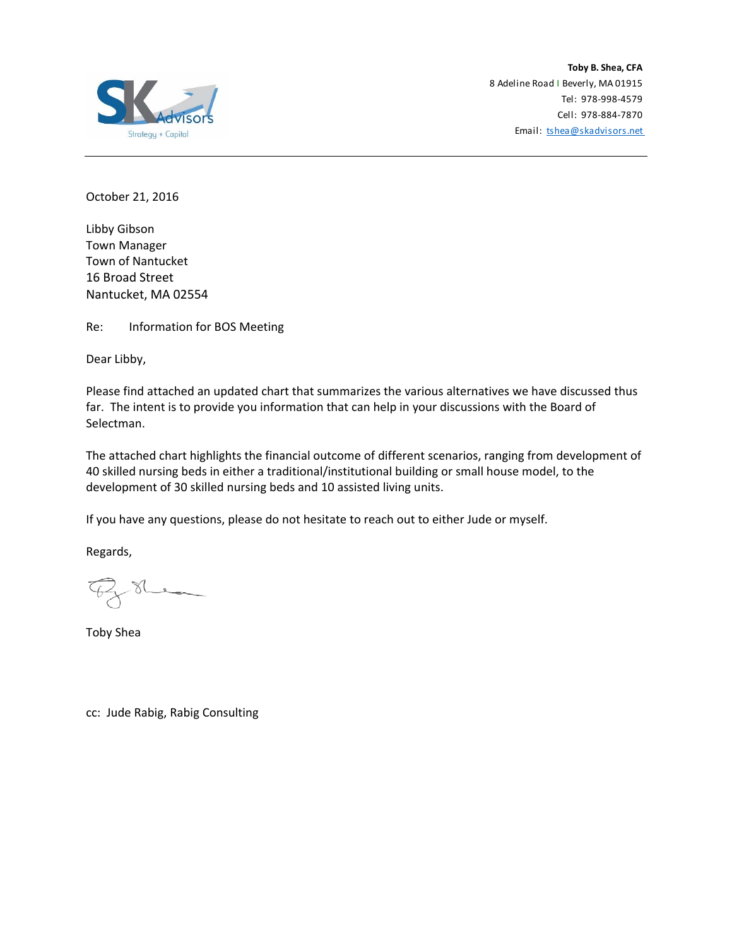

Email: tshea@skadvisors.net **Toby B. Shea, CFA** 8 Adeline Road I Beverly, MA 01915 Tel: 978‐998‐4579 Cell: 978‐884‐7870

October 21, 2016

Libby Gibson Town Manager Town of Nantucket 16 Broad Street Nantucket, MA 02554

Re: Information for BOS Meeting

Dear Libby,

Please find attached an updated chart that summarizes the various alternatives we have discussed thus far. The intent is to provide you information that can help in your discussions with the Board of Selectman.

The attached chart highlights the financial outcome of different scenarios, ranging from development of 40 skilled nursing beds in either a traditional/institutional building or small house model, to the development of 30 skilled nursing beds and 10 assisted living units.

If you have any questions, please do not hesitate to reach out to either Jude or myself.

Regards,

 $8$ he

Toby Shea

cc: Jude Rabig, Rabig Consulting